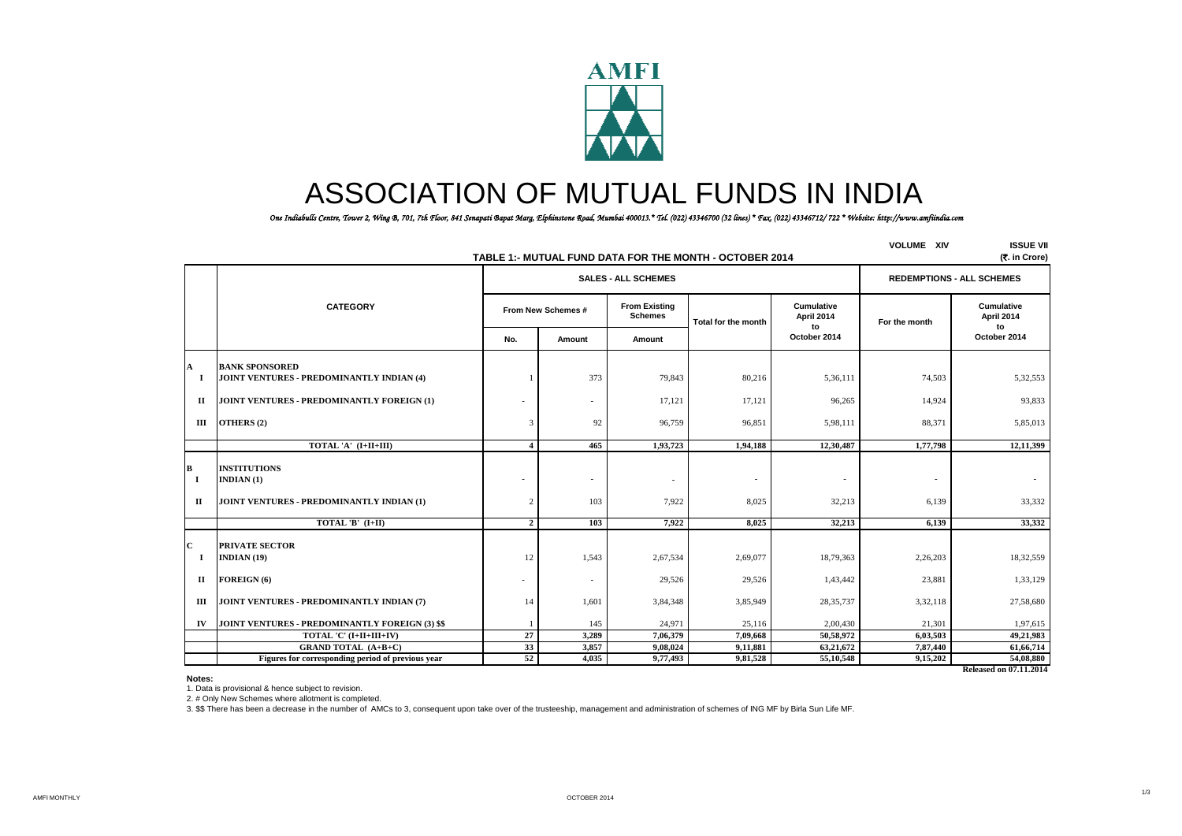

# ASSOCIATION OF MUTUAL FUNDS IN INDIA

*One Indiabulls Centre, Tower 2, Wing B, 701, 7th Floor, 841 Senapati Bapat Marg, Elphinstone Road, Mumbai 400013.\* Tel. (022) 43346700 (32 lines) \* Fax. (022) 43346712/ 722 \* Website: http://www.amfiindia.com*

|                               | TABLE 1:- MUTUAL FUND DATA FOR THE MONTH - OCTOBER 2014                               | <b>VOLUME XIV</b> | <b>ISSUE VII</b><br>(7. in Crore) |                                        |                                   |                                    |                                   |                                     |
|-------------------------------|---------------------------------------------------------------------------------------|-------------------|-----------------------------------|----------------------------------------|-----------------------------------|------------------------------------|-----------------------------------|-------------------------------------|
|                               |                                                                                       |                   |                                   | <b>SALES - ALL SCHEMES</b>             |                                   | <b>REDEMPTIONS - ALL SCHEMES</b>   |                                   |                                     |
|                               | <b>CATEGORY</b>                                                                       |                   | From New Schemes #                | <b>From Existing</b><br><b>Schemes</b> | Total for the month               | <b>Cumulative</b><br>April 2014    | For the month                     | <b>Cumulative</b><br>April 2014     |
|                               |                                                                                       | No.               | Amount                            | Amount                                 |                                   | to<br>October 2014                 |                                   | to<br>October 2014                  |
| A<br>1                        | <b>BANK SPONSORED</b><br>JOINT VENTURES - PREDOMINANTLY INDIAN (4)                    |                   | 373                               | 79,843                                 | 80,216                            | 5,36,111                           | 74,503                            | 5,32,553                            |
| $\mathbf{I}$                  | JOINT VENTURES - PREDOMINANTLY FOREIGN (1)                                            |                   | ٠                                 | 17,121                                 | 17,121                            | 96,265                             | 14,924                            | 93,833                              |
| Ш                             | OTHERS (2)                                                                            | 3                 | 92                                | 96,759                                 | 96,851                            | 5,98,111                           | 88,371                            | 5,85,013                            |
|                               | TOTAL 'A' (I+II+III)                                                                  | $\boldsymbol{4}$  | 465                               | 1,93,723                               | 1,94,188                          | 12,30,487                          | 1,77,798                          | 12,11,399                           |
| В<br>$\bf{I}$<br>$\mathbf{I}$ | <b>INSTITUTIONS</b><br><b>INDIAN</b> (1)<br>JOINT VENTURES - PREDOMINANTLY INDIAN (1) | 2                 | ٠<br>103                          | $\overline{a}$<br>7.922                | $\overline{\phantom{a}}$<br>8,025 | $\overline{\phantom{a}}$<br>32,213 | $\overline{\phantom{a}}$<br>6,139 | 33,332                              |
|                               | TOTAL 'B' (I+II)                                                                      | $\overline{2}$    | 103                               | 7,922                                  | 8,025                             | 32,213                             | 6,139                             | 33,332                              |
| C<br>-1                       | <b>PRIVATE SECTOR</b><br>INDIAN $(19)$                                                | 12                | 1,543                             | 2,67,534                               | 2,69,077                          | 18,79,363                          | 2,26,203                          | 18,32,559                           |
| П                             | FOREIGN (6)                                                                           |                   | $\overline{\phantom{a}}$          | 29,526                                 | 29,526                            | 1,43,442                           | 23,881                            | 1,33,129                            |
| Ш                             | JOINT VENTURES - PREDOMINANTLY INDIAN (7)                                             | 14                | 1,601                             | 3,84,348                               | 3,85,949                          | 28, 35, 737                        | 3,32,118                          | 27,58,680                           |
| IV                            | JOINT VENTURES - PREDOMINANTLY FOREIGN (3) \$\$                                       |                   | 145                               | 24,971                                 | 25,116                            | 2,00,430                           | 21,301                            | 1,97,615                            |
|                               | TOTAL 'C' (I+II+III+IV)                                                               | 27                | 3,289                             | 7,06,379                               | 7.09.668                          | 50,58,972                          | 6.03.503                          | 49,21,983                           |
|                               | <b>GRAND TOTAL (A+B+C)</b>                                                            | 33                | 3,857                             | 9,08,024                               | 9,11,881                          | 63,21,672                          | 7,87,440                          | 61,66,714                           |
|                               | Figures for corresponding period of previous year                                     | 52                | 4,035                             | 9,77,493                               | 9,81,528                          | 55,10,548                          | 9,15,202                          | 54,08,880<br>Released on 07.11.2014 |

**Notes:**

1. Data is provisional & hence subject to revision.

2. # Only New Schemes where allotment is completed.

3. \$\$ There has been a decrease in the number of AMCs to 3, consequent upon take over of the trusteeship, management and administration of schemes of ING MF by Birla Sun Life MF.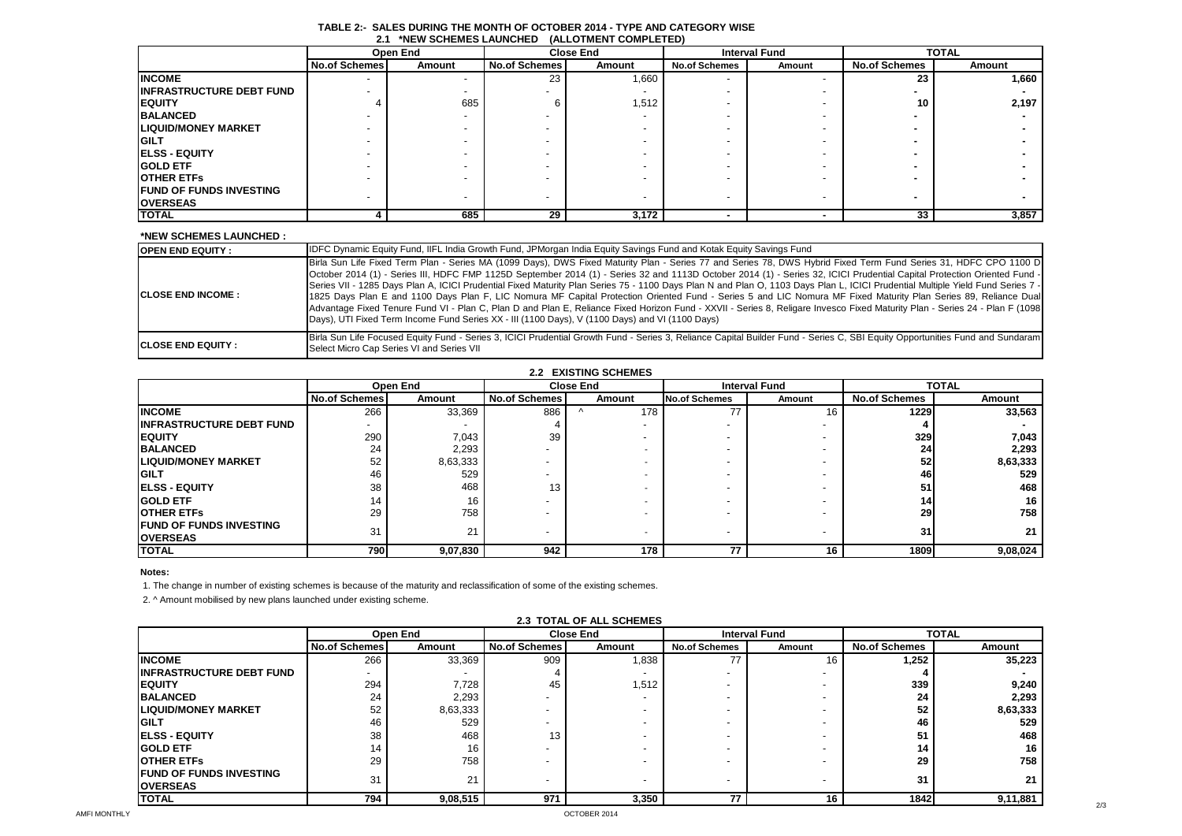| . .<br><b>INLYY OUTILIVILY LAUNUILD</b><br>T |                      |          |                      |                  |                      |                      |                      |              |  |
|----------------------------------------------|----------------------|----------|----------------------|------------------|----------------------|----------------------|----------------------|--------------|--|
|                                              |                      | Open End |                      | <b>Close End</b> |                      | <b>Interval Fund</b> |                      | <b>TOTAL</b> |  |
|                                              | <b>No.of Schemes</b> | Amount   | <b>No.of Schemes</b> | Amount           | <b>No.of Schemes</b> | Amount               | <b>No.of Schemes</b> | Amount       |  |
| <b>INCOME</b>                                |                      |          | 23                   | 1,660            |                      |                      | 23                   | 1,660        |  |
| <b>INFRASTRUCTURE DEBT FUND</b>              |                      |          |                      |                  |                      |                      |                      |              |  |
| <b>EQUITY</b>                                |                      | 685      |                      | 1,512            |                      |                      | 10                   | 2,197        |  |
| <b>BALANCED</b>                              |                      |          |                      |                  |                      |                      |                      |              |  |
| <b>LIQUID/MONEY MARKET</b>                   |                      |          |                      |                  |                      |                      |                      |              |  |
| <b>GILT</b>                                  |                      |          |                      |                  |                      |                      |                      |              |  |
| <b>IELSS - EQUITY</b>                        |                      |          |                      |                  |                      |                      |                      |              |  |
| <b>GOLD ETF</b>                              |                      |          |                      |                  |                      |                      |                      |              |  |
| <b>OTHER ETFS</b>                            |                      |          |                      |                  |                      |                      |                      |              |  |
| <b>FUND OF FUNDS INVESTING</b>               |                      |          |                      |                  |                      |                      |                      |              |  |
| <b>OVERSEAS</b>                              |                      |          |                      |                  |                      |                      |                      |              |  |
| <b>TOTAL</b>                                 |                      | 685      | 29                   | 3,172            |                      |                      | 33                   | 3,857        |  |

#### **TABLE 2:- SALES DURING THE MONTH OF OCTOBER 2014 - TYPE AND CATEGORY WISE 2.1 \*NEW SCHEMES LAUNCHED (ALLOTMENT COMPLETED)**

#### **\*NEW SCHEMES LAUNCHED :**

| <b>OPEN END EQUITY :</b>   | IDFC Dynamic Equity Fund, IIFL India Growth Fund, JPMorgan India Equity Savings Fund and Kotak Equity Savings Fund                                                                                                                                                                                                                                                                                                                                                                                                                                                                                                                                                                                                                                                                                                                                                                                                                                                                   |
|----------------------------|--------------------------------------------------------------------------------------------------------------------------------------------------------------------------------------------------------------------------------------------------------------------------------------------------------------------------------------------------------------------------------------------------------------------------------------------------------------------------------------------------------------------------------------------------------------------------------------------------------------------------------------------------------------------------------------------------------------------------------------------------------------------------------------------------------------------------------------------------------------------------------------------------------------------------------------------------------------------------------------|
| <b>CLOSE END INCOME :</b>  | Birla Sun Life Fixed Term Plan - Series MA (1099 Days), DWS Fixed Maturity Plan - Series 77 and Series 78, DWS Hybrid Fixed Term Fund Series 31, HDFC CPO 1100 D<br>Cotober 2014 (1) - Series III, HDFC FMP 1125D September 2014 (1) - Series 32 and 1113D October 2014 (1) - Series 32, ICICI Prudential Capital Protection Oriented Fund -<br>Series VII - 1285 Days Plan A, ICICI Prudential Fixed Maturity Plan Series 75 - 1100 Days Plan N and Plan O, 1103 Days Plan L, ICICI Prudential Multiple Yield Fund Series 7 -<br>1825 Days Plan E and 1100 Days Plan F, LIC Nomura MF Capital Protection Oriented Fund - Series 5 and LIC Nomura MF Fixed Maturity Plan Series 89, Reliance Dual<br>Advantage Fixed Tenure Fund VI - Plan C, Plan D and Plan E, Reliance Fixed Horizon Fund - XXVII - Series 8, Religare Invesco Fixed Maturity Plan - Series 24 - Plan F (1098)<br>Days), UTI Fixed Term Income Fund Series XX - III (1100 Days), V (1100 Days) and VI (1100 Days) |
| <b>ICLOSE END EQUITY :</b> | Birla Sun Life Focused Equity Fund - Series 3, ICICI Prudential Growth Fund - Series 3, Reliance Capital Builder Fund - Series C, SBI Equity Opportunities Fund and Sundaram<br>Select Micro Cap Series VI and Series VII                                                                                                                                                                                                                                                                                                                                                                                                                                                                                                                                                                                                                                                                                                                                                            |

| <b>2.2 EXISTING SCHEMES</b>      |                          |          |                      |        |                      |                          |                      |          |
|----------------------------------|--------------------------|----------|----------------------|--------|----------------------|--------------------------|----------------------|----------|
|                                  |                          | Open End | <b>Close End</b>     |        | <b>Interval Fund</b> |                          | <b>TOTAL</b>         |          |
|                                  | <b>No.of Schemes</b>     | Amount   | <b>No.of Schemes</b> | Amount | <b>No.of Schemes</b> | Amount                   | <b>No.of Schemes</b> | Amount   |
| <b>INCOME</b>                    | 266                      | 33,369   | 886                  | 178    | 77                   | 16                       | 1229                 | 33,563   |
| <b>IINFRASTRUCTURE DEBT FUND</b> | $\overline{\phantom{a}}$ |          |                      |        |                      |                          |                      |          |
| <b>IEQUITY</b>                   | 290                      | 7,043    | 39                   |        |                      |                          | 329                  | 7,043    |
| <b>BALANCED</b>                  | 24                       | 2,293    |                      |        |                      |                          | 24                   | 2,293    |
| <b>LIQUID/MONEY MARKET</b>       | 52                       | 8,63,333 |                      |        |                      |                          | 52 <sub>l</sub>      | 8,63,333 |
| <b>IGILT</b>                     | 46                       | 529      |                      |        |                      |                          | 46                   | 529      |
| <b>IELSS - EQUITY</b>            | 38                       | 468      | 13                   |        |                      |                          | 51                   | 468      |
| <b>IGOLD ETF</b>                 | 14                       | 16       |                      |        |                      |                          | 14                   | 16       |
| <b>IOTHER ETFS</b>               | 29                       | 758      |                      |        |                      |                          | 29                   | 758      |
| <b>IFUND OF FUNDS INVESTING</b>  | 31                       | 21       |                      |        |                      |                          | 31                   | 21       |
| <b>IOVERSEAS</b>                 |                          |          |                      |        |                      | $\overline{\phantom{a}}$ |                      |          |
| <b>TOTAL</b>                     | 790                      | 9,07,830 | 942                  | 178    | 77                   | 16                       | 1809                 | 9,08,024 |

## **Notes:**

1. The change in number of existing schemes is because of the maturity and reclassification of some of the existing schemes.

2. ^ Amount mobilised by new plans launched under existing scheme.

|                                                    | Open End<br><b>Close End</b> |          |                      |        | <b>Interval Fund</b> | <b>TOTAL</b> |                      |          |
|----------------------------------------------------|------------------------------|----------|----------------------|--------|----------------------|--------------|----------------------|----------|
|                                                    | <b>No.of Schemes</b>         | Amount   | <b>No.of Schemes</b> | Amount | <b>No.of Schemes</b> | Amount       | <b>No.of Schemes</b> | Amount   |
| <b>INCOME</b>                                      | 266                          | 33,369   | 909                  | 1,838  | 77                   | 16           | 1,252                | 35,223   |
| <b>IINFRASTRUCTURE DEBT FUND</b>                   | $\overline{\phantom{0}}$     |          |                      |        |                      |              |                      |          |
| <b>IEQUITY</b>                                     | 294                          | 7,728    | 45                   | 1,512  |                      |              | 339                  | 9,240    |
| <b>BALANCED</b>                                    | 24                           | 2,293    |                      |        |                      |              | 24                   | 2,293    |
| <b>ILIQUID/MONEY MARKET</b>                        | 52                           | 8,63,333 |                      |        |                      |              | 52                   | 8,63,333 |
| IGILT                                              | 46                           | 529      |                      |        |                      |              | 46                   | 529      |
| <b>IELSS - EQUITY</b>                              | 38                           | 468      | 13                   |        |                      |              | 51                   | 468      |
| <b>IGOLD ETF</b>                                   | 14                           | 16       |                      |        |                      |              | 14                   | 16       |
| <b>IOTHER ETFS</b>                                 | 29                           | 758      |                      |        |                      |              | 29                   | 758      |
| <b>IFUND OF FUNDS INVESTING</b><br><b>OVERSEAS</b> | 31                           | 21       |                      |        |                      |              | 31                   | 21       |
| <b>TOTAL</b>                                       | 794                          | 9,08,515 | 971                  | 3,350  | 77                   | 16           | 1842                 | 9,11,881 |

# **2.3 TOTAL OF ALL SCHEMES**